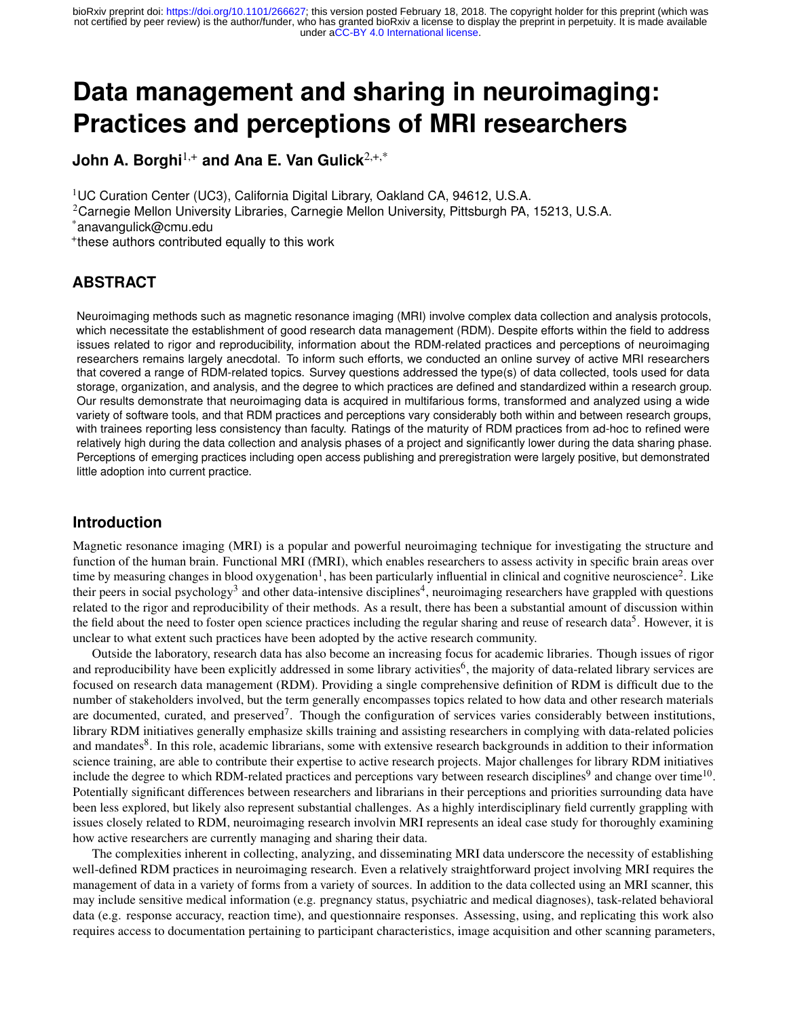# **Data management and sharing in neuroimaging: Practices and perceptions of MRI researchers**

**John A. Borghi**<sup>1,+</sup> and Ana E. Van Gulick<sup>2,+,\*</sup>

<sup>1</sup>UC Curation Center (UC3), California Digital Library, Oakland CA, 94612, U.S.A.

<sup>2</sup>Carnegie Mellon University Libraries, Carnegie Mellon University, Pittsburgh PA, 15213, U.S.A.

\*anavangulick@cmu.edu

+ these authors contributed equally to this work

# **ABSTRACT**

Neuroimaging methods such as magnetic resonance imaging (MRI) involve complex data collection and analysis protocols, which necessitate the establishment of good research data management (RDM). Despite efforts within the field to address issues related to rigor and reproducibility, information about the RDM-related practices and perceptions of neuroimaging researchers remains largely anecdotal. To inform such efforts, we conducted an online survey of active MRI researchers that covered a range of RDM-related topics. Survey questions addressed the type(s) of data collected, tools used for data storage, organization, and analysis, and the degree to which practices are defined and standardized within a research group. Our results demonstrate that neuroimaging data is acquired in multifarious forms, transformed and analyzed using a wide variety of software tools, and that RDM practices and perceptions vary considerably both within and between research groups, with trainees reporting less consistency than faculty. Ratings of the maturity of RDM practices from ad-hoc to refined were relatively high during the data collection and analysis phases of a project and significantly lower during the data sharing phase. Perceptions of emerging practices including open access publishing and preregistration were largely positive, but demonstrated little adoption into current practice.

# **Introduction**

Magnetic resonance imaging (MRI) is a popular and powerful neuroimaging technique for investigating the structure and function of the human brain. Functional MRI (fMRI), which enables researchers to assess activity in specific brain areas over time by measuring changes in blood oxygenation<sup>1</sup>, has been particularly influential in clinical and cognitive neuroscience<sup>2</sup>. Like their peers in social psychology<sup>3</sup> and other data-intensive disciplines<sup>4</sup>, neuroimaging researchers have grappled with questions related to the rigor and reproducibility of their methods. As a result, there has been a substantial amount of discussion within the field about the need to foster open science practices including the regular sharing and reuse of research data<sup>5</sup>. However, it is unclear to what extent such practices have been adopted by the active research community.

Outside the laboratory, research data has also become an increasing focus for academic libraries. Though issues of rigor and reproducibility have been explicitly addressed in some library activities<sup>6</sup>, the majority of data-related library services are focused on research data management (RDM). Providing a single comprehensive definition of RDM is difficult due to the number of stakeholders involved, but the term generally encompasses topics related to how data and other research materials are documented, curated, and preserved<sup>7</sup>. Though the configuration of services varies considerably between institutions, library RDM initiatives generally emphasize skills training and assisting researchers in complying with data-related policies and mandates<sup>8</sup>. In this role, academic librarians, some with extensive research backgrounds in addition to their information science training, are able to contribute their expertise to active research projects. Major challenges for library RDM initiatives include the degree to which RDM-related practices and perceptions vary between research disciplines<sup>9</sup> and change over time<sup>10</sup>. Potentially significant differences between researchers and librarians in their perceptions and priorities surrounding data have been less explored, but likely also represent substantial challenges. As a highly interdisciplinary field currently grappling with issues closely related to RDM, neuroimaging research involvin MRI represents an ideal case study for thoroughly examining how active researchers are currently managing and sharing their data.

The complexities inherent in collecting, analyzing, and disseminating MRI data underscore the necessity of establishing well-defined RDM practices in neuroimaging research. Even a relatively straightforward project involving MRI requires the management of data in a variety of forms from a variety of sources. In addition to the data collected using an MRI scanner, this may include sensitive medical information (e.g. pregnancy status, psychiatric and medical diagnoses), task-related behavioral data (e.g. response accuracy, reaction time), and questionnaire responses. Assessing, using, and replicating this work also requires access to documentation pertaining to participant characteristics, image acquisition and other scanning parameters,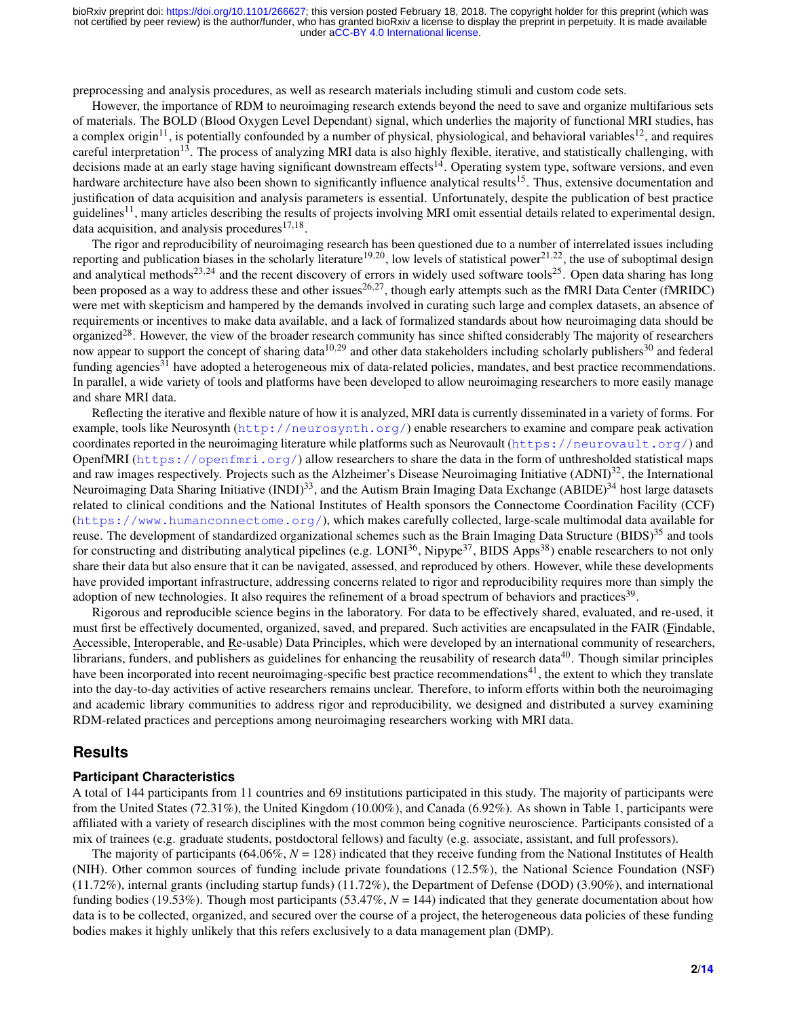preprocessing and analysis procedures, as well as research materials including stimuli and custom code sets.

However, the importance of RDM to neuroimaging research extends beyond the need to save and organize multifarious sets of materials. The BOLD (Blood Oxygen Level Dependant) signal, which underlies the majority of functional MRI studies, has a complex origin<sup>11</sup>, is potentially confounded by a number of physical, physiological, and behavioral variables<sup>12</sup>, and requires careful interpretation<sup>13</sup>. The process of analyzing MRI data is also highly flexible, iterative, and statistically challenging, with decisions made at an early stage having significant downstream effects<sup>14</sup>. Operating system type, software versions, and even hardware architecture have also been shown to significantly influence analytical results<sup>15</sup>. Thus, extensive documentation and justification of data acquisition and analysis parameters is essential. Unfortunately, despite the publication of best practice guidelines<sup>11</sup>, many articles describing the results of projects involving MRI omit essential details related to experimental design, data acquisition, and analysis procedures $17,18$ .

The rigor and reproducibility of neuroimaging research has been questioned due to a number of interrelated issues including reporting and publication biases in the scholarly literature<sup>19,20</sup>, low levels of statistical power<sup>21,22</sup>, the use of suboptimal design and analytical methods<sup>23,24</sup> and the recent discovery of errors in widely used software tools<sup>25</sup>. Open data sharing has long been proposed as a way to address these and other issues<sup>26,27</sup>, though early attempts such as the fMRI Data Center (fMRIDC) were met with skepticism and hampered by the demands involved in curating such large and complex datasets, an absence of requirements or incentives to make data available, and a lack of formalized standards about how neuroimaging data should be organized<sup>28</sup>. However, the view of the broader research community has since shifted considerably The majority of researchers now appear to support the concept of sharing data<sup>10,29</sup> and other data stakeholders including scholarly publishers<sup>30</sup> and federal funding agencies<sup>31</sup> have adopted a heterogeneous mix of data-related policies, mandates, and best practice recommendations. In parallel, a wide variety of tools and platforms have been developed to allow neuroimaging researchers to more easily manage and share MRI data.

Reflecting the iterative and flexible nature of how it is analyzed, MRI data is currently disseminated in a variety of forms. For example, tools like Neurosynth (<http://neurosynth.org/>) enable researchers to examine and compare peak activation coordinates reported in the neuroimaging literature while platforms such as Neurovault (<https://neurovault.org/>) and OpenfMRI (<https://openfmri.org/>) allow researchers to share the data in the form of unthresholded statistical maps and raw images respectively. Projects such as the Alzheimer's Disease Neuroimaging Initiative (ADNI)<sup>32</sup>, the International Neuroimaging Data Sharing Initiative  $(INDI)^{33}$ , and the Autism Brain Imaging Data Exchange  $(ABIDE)^{34}$  host large datasets related to clinical conditions and the National Institutes of Health sponsors the Connectome Coordination Facility (CCF) (<https://www.humanconnectome.org/>), which makes carefully collected, large-scale multimodal data available for reuse. The development of standardized organizational schemes such as the Brain Imaging Data Structure (BIDS)<sup>35</sup> and tools for constructing and distributing analytical pipelines (e.g.  $LONI^{36}$ , Nipype<sup>37</sup>, BIDS Apps<sup>38</sup>) enable researchers to not only share their data but also ensure that it can be navigated, assessed, and reproduced by others. However, while these developments have provided important infrastructure, addressing concerns related to rigor and reproducibility requires more than simply the adoption of new technologies. It also requires the refinement of a broad spectrum of behaviors and practices<sup>39</sup>.

Rigorous and reproducible science begins in the laboratory. For data to be effectively shared, evaluated, and re-used, it must first be effectively documented, organized, saved, and prepared. Such activities are encapsulated in the FAIR (Findable, Accessible, Interoperable, and Re-usable) Data Principles, which were developed by an international community of researchers, librarians, funders, and publishers as guidelines for enhancing the reusability of research data<sup>40</sup>. Though similar principles have been incorporated into recent neuroimaging-specific best practice recommendations<sup>41</sup>, the extent to which they translate into the day-to-day activities of active researchers remains unclear. Therefore, to inform efforts within both the neuroimaging and academic library communities to address rigor and reproducibility, we designed and distributed a survey examining RDM-related practices and perceptions among neuroimaging researchers working with MRI data.

## **Results**

#### **Participant Characteristics**

A total of 144 participants from 11 countries and 69 institutions participated in this study. The majority of participants were from the United States (72.31%), the United Kingdom (10.00%), and Canada (6.92%). As shown in Table 1, participants were affiliated with a variety of research disciplines with the most common being cognitive neuroscience. Participants consisted of a mix of trainees (e.g. graduate students, postdoctoral fellows) and faculty (e.g. associate, assistant, and full professors).

The majority of participants (64.06%,  $N = 128$ ) indicated that they receive funding from the National Institutes of Health (NIH). Other common sources of funding include private foundations (12.5%), the National Science Foundation (NSF) (11.72%), internal grants (including startup funds) (11.72%), the Department of Defense (DOD) (3.90%), and international funding bodies (19.53%). Though most participants (53.47%,  $N = 144$ ) indicated that they generate documentation about how data is to be collected, organized, and secured over the course of a project, the heterogeneous data policies of these funding bodies makes it highly unlikely that this refers exclusively to a data management plan (DMP).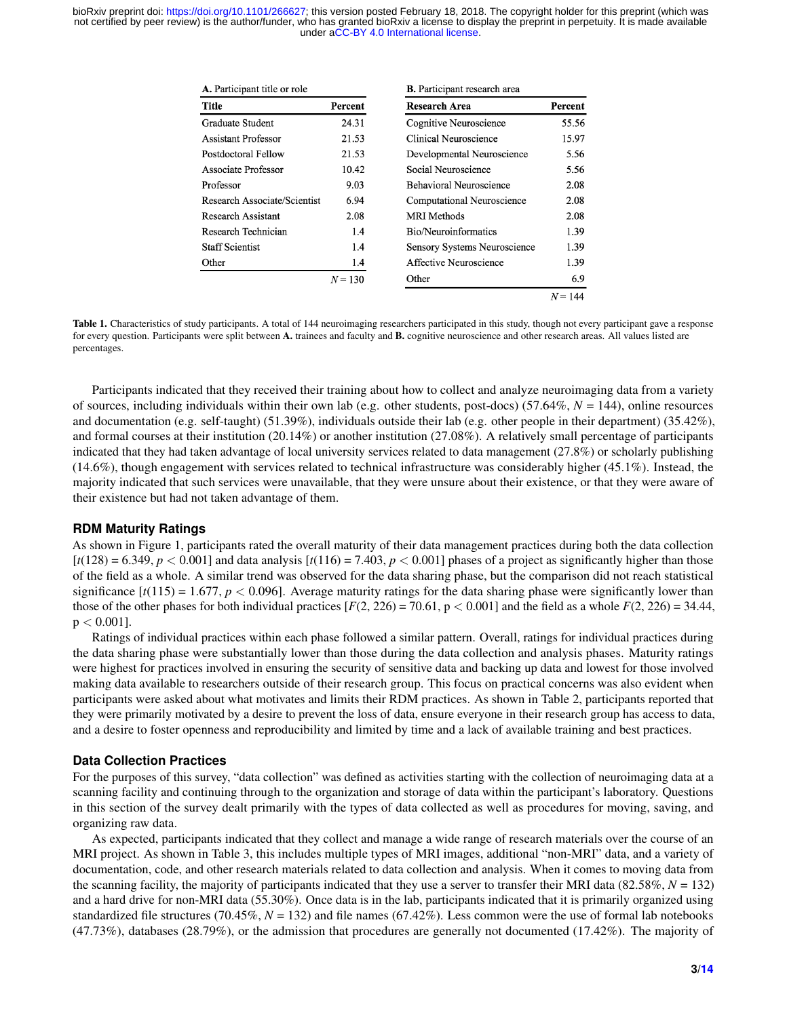| A. Participant title or role |           | <b>B.</b> Participant research area |           |  |
|------------------------------|-----------|-------------------------------------|-----------|--|
| <b>Title</b>                 | Percent   | <b>Research Area</b>                | Percent   |  |
| Graduate Student             | 24.31     | Cognitive Neuroscience              | 55.56     |  |
| <b>Assistant Professor</b>   | 21.53     | Clinical Neuroscience               | 15.97     |  |
| Postdoctoral Fellow          | 21.53     | Developmental Neuroscience          | 5.56      |  |
| Associate Professor          | 10.42     | Social Neuroscience                 | 5.56      |  |
| Professor                    | 9.03      | <b>Behavioral Neuroscience</b>      | 2.08      |  |
| Research Associate/Scientist | 6.94      | Computational Neuroscience          | 2.08      |  |
| Research Assistant           | 2.08      | <b>MRI</b> Methods                  | 2.08      |  |
| Research Technician          | 1.4       | Bio/Neuroinformatics                | 1.39      |  |
| <b>Staff Scientist</b>       | 1.4       | <b>Sensory Systems Neuroscience</b> | 1.39      |  |
| Other                        | 1.4       | Affective Neuroscience              | 1.39      |  |
|                              | $N = 130$ | Other                               | 6.9       |  |
|                              |           |                                     | $N = 144$ |  |

Table 1. Characteristics of study participants. A total of 144 neuroimaging researchers participated in this study, though not every participant gave a response for every question. Participants were split between A. trainees and faculty and B. cognitive neuroscience and other research areas. All values listed are percentages.

Participants indicated that they received their training about how to collect and analyze neuroimaging data from a variety of sources, including individuals within their own lab (e.g. other students, post-docs) (57.64%, *N* = 144), online resources and documentation (e.g. self-taught) (51.39%), individuals outside their lab (e.g. other people in their department) (35.42%), and formal courses at their institution (20.14%) or another institution (27.08%). A relatively small percentage of participants indicated that they had taken advantage of local university services related to data management (27.8%) or scholarly publishing (14.6%), though engagement with services related to technical infrastructure was considerably higher (45.1%). Instead, the majority indicated that such services were unavailable, that they were unsure about their existence, or that they were aware of their existence but had not taken advantage of them.

#### **RDM Maturity Ratings**

As shown in Figure 1, participants rated the overall maturity of their data management practices during both the data collection  $[t(128) = 6.349, p < 0.001]$  and data analysis  $[t(116) = 7.403, p < 0.001]$  phases of a project as significantly higher than those of the field as a whole. A similar trend was observed for the data sharing phase, but the comparison did not reach statistical significance  $[t(115) = 1.677, p < 0.096]$ . Average maturity ratings for the data sharing phase were significantly lower than those of the other phases for both individual practices  $[F(2, 226) = 70.61, p < 0.001]$  and the field as a whole  $F(2, 226) = 34.44$ ,  $p < 0.001$ ].

Ratings of individual practices within each phase followed a similar pattern. Overall, ratings for individual practices during the data sharing phase were substantially lower than those during the data collection and analysis phases. Maturity ratings were highest for practices involved in ensuring the security of sensitive data and backing up data and lowest for those involved making data available to researchers outside of their research group. This focus on practical concerns was also evident when participants were asked about what motivates and limits their RDM practices. As shown in Table 2, participants reported that they were primarily motivated by a desire to prevent the loss of data, ensure everyone in their research group has access to data, and a desire to foster openness and reproducibility and limited by time and a lack of available training and best practices.

## **Data Collection Practices**

For the purposes of this survey, "data collection" was defined as activities starting with the collection of neuroimaging data at a scanning facility and continuing through to the organization and storage of data within the participant's laboratory. Questions in this section of the survey dealt primarily with the types of data collected as well as procedures for moving, saving, and organizing raw data.

As expected, participants indicated that they collect and manage a wide range of research materials over the course of an MRI project. As shown in Table 3, this includes multiple types of MRI images, additional "non-MRI" data, and a variety of documentation, code, and other research materials related to data collection and analysis. When it comes to moving data from the scanning facility, the majority of participants indicated that they use a server to transfer their MRI data (82.58%,  $N = 132$ ) and a hard drive for non-MRI data (55.30%). Once data is in the lab, participants indicated that it is primarily organized using standardized file structures (70.45%,  $N = 132$ ) and file names (67.42%). Less common were the use of formal lab notebooks (47.73%), databases (28.79%), or the admission that procedures are generally not documented (17.42%). The majority of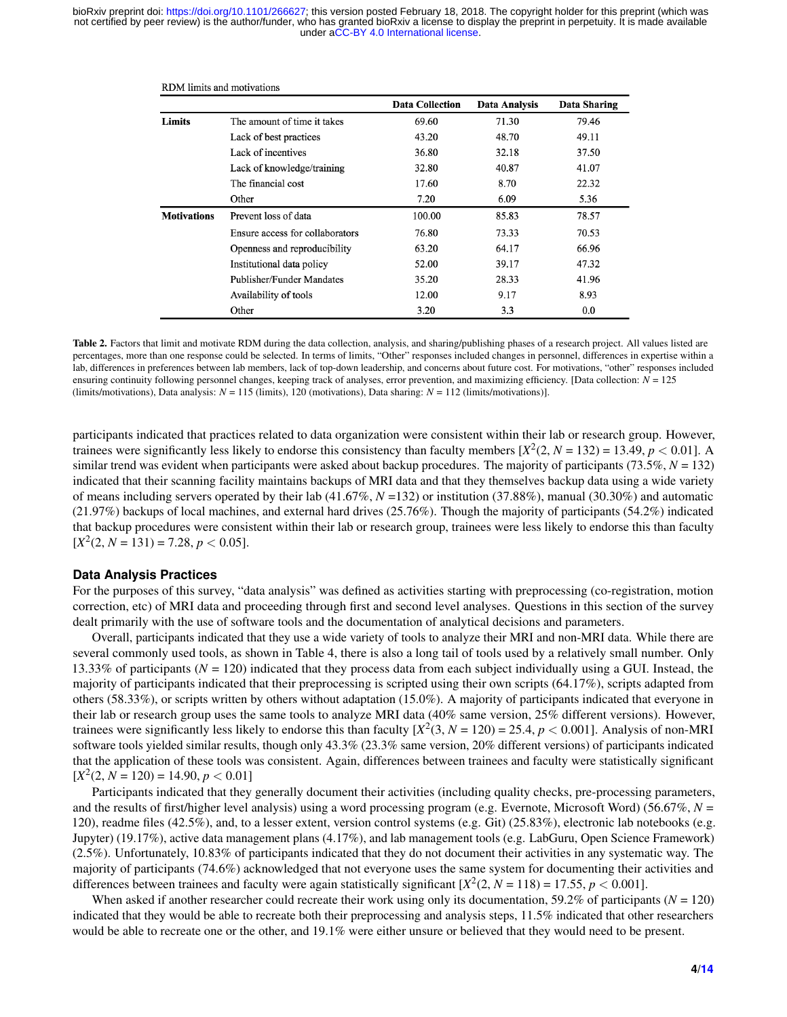|                    |                                 | <b>Data Collection</b> | Data Analysis | Data Sharing |
|--------------------|---------------------------------|------------------------|---------------|--------------|
| Limits             | The amount of time it takes     | 69.60                  | 71.30         | 79.46        |
|                    | Lack of best practices          | 43.20                  | 48.70         | 49.11        |
|                    | Lack of incentives              | 36.80                  | 32.18         | 37.50        |
|                    | Lack of knowledge/training      | 32.80                  | 40.87         | 41.07        |
|                    | The financial cost              | 17.60                  | 8.70          | 22.32        |
|                    | Other                           | 7.20                   | 6.09          | 5.36         |
| <b>Motivations</b> | Prevent loss of data            | 100.00                 | 85.83         | 78.57        |
|                    | Ensure access for collaborators | 76.80                  | 73.33         | 70.53        |
|                    | Openness and reproducibility    | 63.20                  | 64.17         | 66.96        |
|                    | Institutional data policy       | 52.00                  | 39.17         | 47.32        |
|                    | Publisher/Funder Mandates       | 35.20                  | 28.33         | 41.96        |
|                    | Availability of tools           | 12.00                  | 9.17          | 8.93         |
|                    | Other                           | 3.20                   | 3.3           | 0.0          |

Table 2. Factors that limit and motivate RDM during the data collection, analysis, and sharing/publishing phases of a research project. All values listed are percentages, more than one response could be selected. In terms of limits, "Other" responses included changes in personnel, differences in expertise within a lab, differences in preferences between lab members, lack of top-down leadership, and concerns about future cost. For motivations, "other" responses included ensuring continuity following personnel changes, keeping track of analyses, error prevention, and maximizing efficiency. [Data collection: *N* = 125 (limits/motivations), Data analysis: *N* = 115 (limits), 120 (motivations), Data sharing: *N* = 112 (limits/motivations)].

participants indicated that practices related to data organization were consistent within their lab or research group. However, trainees were significantly less likely to endorse this consistency than faculty members  $[X^2(2, N = 132) = 13.49, p < 0.01]$ . A similar trend was evident when participants were asked about backup procedures. The majority of participants (73.5%, *N* = 132) indicated that their scanning facility maintains backups of MRI data and that they themselves backup data using a wide variety of means including servers operated by their lab (41.67%, *N* =132) or institution (37.88%), manual (30.30%) and automatic (21.97%) backups of local machines, and external hard drives (25.76%). Though the majority of participants (54.2%) indicated that backup procedures were consistent within their lab or research group, trainees were less likely to endorse this than faculty  $[X^2(2, N = 131) = 7.28, p < 0.05].$ 

#### **Data Analysis Practices**

------

 $\mathbf{r}$ 

For the purposes of this survey, "data analysis" was defined as activities starting with preprocessing (co-registration, motion correction, etc) of MRI data and proceeding through first and second level analyses. Questions in this section of the survey dealt primarily with the use of software tools and the documentation of analytical decisions and parameters.

Overall, participants indicated that they use a wide variety of tools to analyze their MRI and non-MRI data. While there are several commonly used tools, as shown in Table 4, there is also a long tail of tools used by a relatively small number. Only 13.33% of participants (*N* = 120) indicated that they process data from each subject individually using a GUI. Instead, the majority of participants indicated that their preprocessing is scripted using their own scripts (64.17%), scripts adapted from others (58.33%), or scripts written by others without adaptation (15.0%). A majority of participants indicated that everyone in their lab or research group uses the same tools to analyze MRI data (40% same version, 25% different versions). However, trainees were significantly less likely to endorse this than faculty  $[X^2(3, N = 120) = 25.4, p < 0.001]$ . Analysis of non-MRI software tools yielded similar results, though only 43.3% (23.3% same version, 20% different versions) of participants indicated that the application of these tools was consistent. Again, differences between trainees and faculty were statistically significant  $[X^2(2, N = 120) = 14.90, p < 0.01]$ 

Participants indicated that they generally document their activities (including quality checks, pre-processing parameters, and the results of first/higher level analysis) using a word processing program (e.g. Evernote, Microsoft Word) (56.67%, *N* = 120), readme files (42.5%), and, to a lesser extent, version control systems (e.g. Git) (25.83%), electronic lab notebooks (e.g. Jupyter) (19.17%), active data management plans (4.17%), and lab management tools (e.g. LabGuru, Open Science Framework) (2.5%). Unfortunately, 10.83% of participants indicated that they do not document their activities in any systematic way. The majority of participants (74.6%) acknowledged that not everyone uses the same system for documenting their activities and differences between trainees and faculty were again statistically significant  $[X^2(2, N = 118) = 17.55, p < 0.001]$ .

When asked if another researcher could recreate their work using only its documentation, 59.2% of participants  $(N = 120)$ indicated that they would be able to recreate both their preprocessing and analysis steps, 11.5% indicated that other researchers would be able to recreate one or the other, and 19.1% were either unsure or believed that they would need to be present.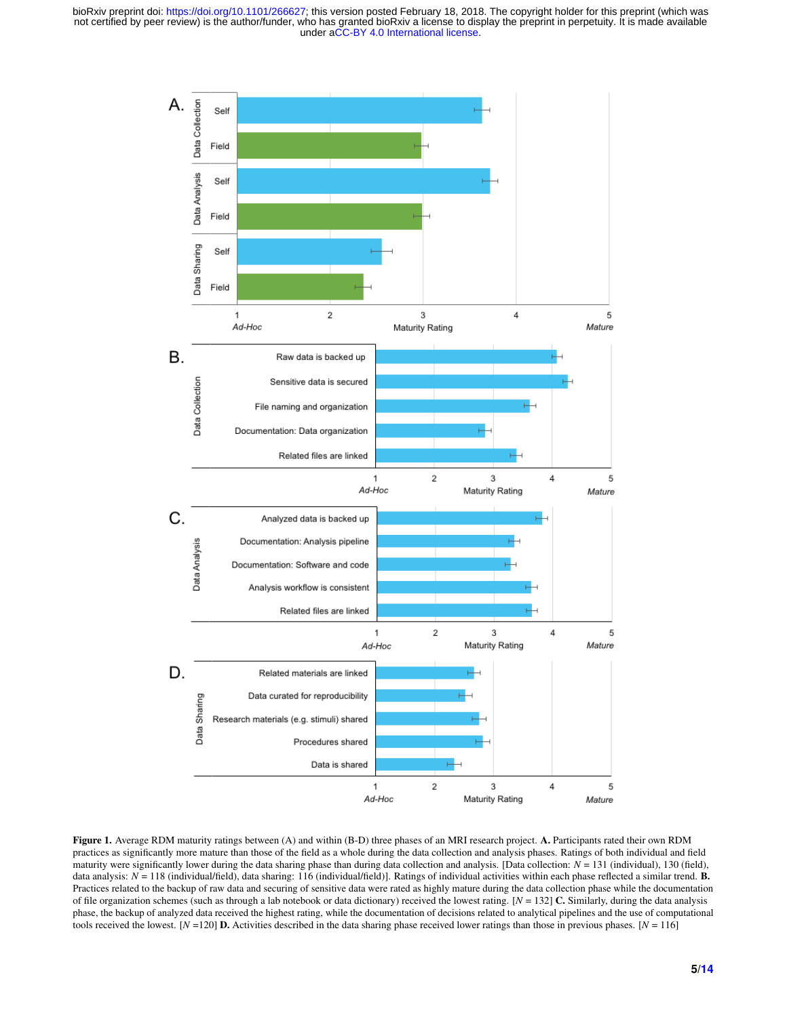

Figure 1. Average RDM maturity ratings between (A) and within (B-D) three phases of an MRI research project. A. Participants rated their own RDM practices as significantly more mature than those of the field as a whole during the data collection and analysis phases. Ratings of both individual and field maturity were significantly lower during the data sharing phase than during data collection and analysis. [Data collection:  $N = 131$  (individual), 130 (field), data analysis:  $N = 118$  (individual/field), data sharing: 116 (individual/field)]. Ratings of individual activities within each phase reflected a similar trend. **B.** Practices related to the backup of raw data and securing of sensitive data were rated as highly mature during the data collection phase while the documentation of file organization schemes (such as through a lab notebook or data dictionary) received the lowest rating. [*N* = 132] C. Similarly, during the data analysis phase, the backup of analyzed data received the highest rating, while the documentation of decisions related to analytical pipelines and the use of computational tools received the lowest.  $[N = 120]$  **D.** Activities described in the data sharing phase received lower ratings than those in previous phases.  $[N = 116]$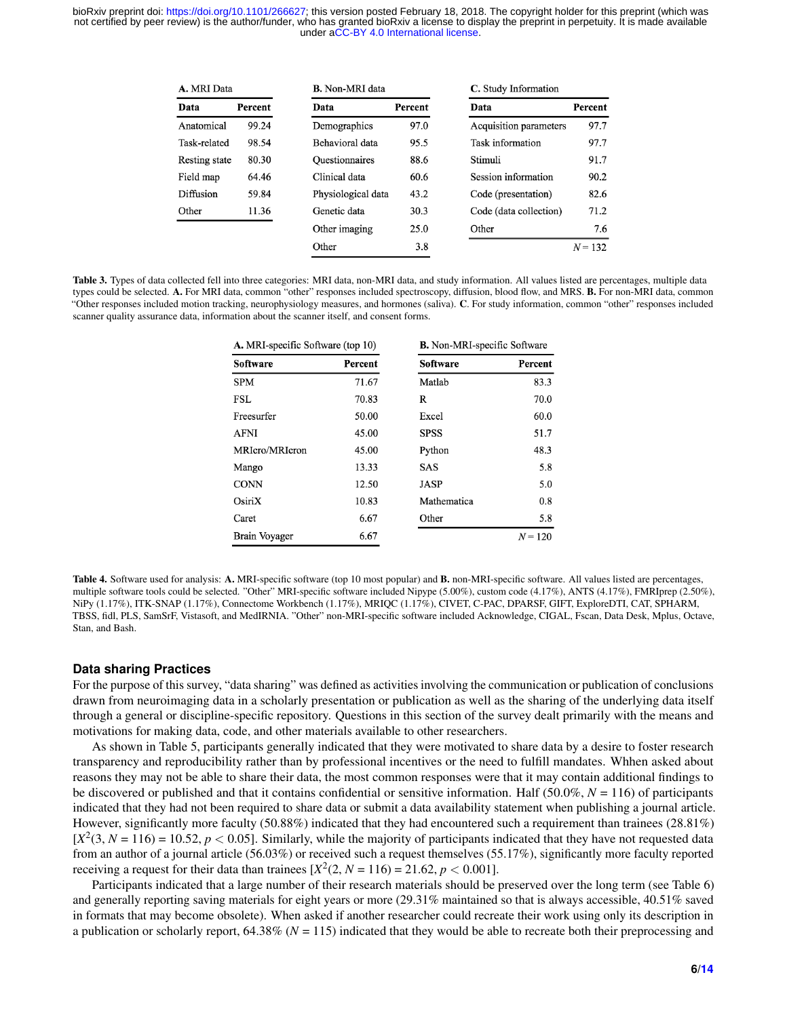| A. MRI Data   |         | <b>B.</b> Non-MRI data |         | C. Study Information   |           |  |
|---------------|---------|------------------------|---------|------------------------|-----------|--|
| Data          | Percent | Data                   | Percent | Data                   | Percent   |  |
| Anatomical    | 99.24   | Demographics           | 97.0    | Acquisition parameters | 97.7      |  |
| Task-related  | 98.54   | Behavioral data        | 95.5    | Task information       | 97.7      |  |
| Resting state | 80.30   | <b>Ouestionnaires</b>  | 88.6    | Stimuli                | 91.7      |  |
| Field map     | 64.46   | Clinical data          | 60.6    | Session information    | 90.2      |  |
| Diffusion     | 59.84   | Physiological data     | 43.2    | Code (presentation)    | 82.6      |  |
| Other         | 11.36   | Genetic data           | 30.3    | Code (data collection) | 71.2      |  |
|               |         | Other imaging          | 25.0    | Other                  | 7.6       |  |
|               |         | Other                  | 3.8     |                        | $N = 132$ |  |

Table 3. Types of data collected fell into three categories: MRI data, non-MRI data, and study information. All values listed are percentages, multiple data types could be selected. A. For MRI data, common "other" responses included spectroscopy, diffusion, blood flow, and MRS. B. For non-MRI data, common "Other responses included motion tracking, neurophysiology measures, and hormones (saliva). C. For study information, common "other" responses included scanner quality assurance data, information about the scanner itself, and consent forms.

| A. MRI-specific Software (top 10) |         | <b>B.</b> Non-MRI-specific Software |           |  |
|-----------------------------------|---------|-------------------------------------|-----------|--|
| <b>Software</b>                   | Percent | Software                            | Percent   |  |
| <b>SPM</b>                        | 71.67   | Matlab                              | 83.3      |  |
| FSL                               | 70.83   | R                                   | 70.0      |  |
| Freesurfer                        | 50.00   | Excel                               | 60.0      |  |
| <b>AFNI</b>                       | 45.00   | <b>SPSS</b>                         | 51.7      |  |
| MRIcro/MRIcron                    | 45.00   | Python                              | 48.3      |  |
| Mango                             | 13.33   | SAS                                 | 5.8       |  |
| <b>CONN</b>                       | 12.50   | JASP                                | 5.0       |  |
| OsiriX                            | 10.83   | Mathematica                         | 0.8       |  |
| Caret                             | 6.67    | Other                               | 5.8       |  |
| Brain Voyager                     | 6.67    |                                     | $N = 120$ |  |

Table 4. Software used for analysis: A. MRI-specific software (top 10 most popular) and B. non-MRI-specific software. All values listed are percentages, multiple software tools could be selected. "Other" MRI-specific software included Nipype (5.00%), custom code (4.17%), ANTS (4.17%), FMRIprep (2.50%), NiPy (1.17%), ITK-SNAP (1.17%), Connectome Workbench (1.17%), MRIQC (1.17%), CIVET, C-PAC, DPARSF, GIFT, ExploreDTI, CAT, SPHARM, TBSS, fidl, PLS, SamSrF, Vistasoft, and MedIRNIA. "Other" non-MRI-specific software included Acknowledge, CIGAL, Fscan, Data Desk, Mplus, Octave, Stan, and Bash.

#### **Data sharing Practices**

For the purpose of this survey, "data sharing" was defined as activities involving the communication or publication of conclusions drawn from neuroimaging data in a scholarly presentation or publication as well as the sharing of the underlying data itself through a general or discipline-specific repository. Questions in this section of the survey dealt primarily with the means and motivations for making data, code, and other materials available to other researchers.

As shown in Table 5, participants generally indicated that they were motivated to share data by a desire to foster research transparency and reproducibility rather than by professional incentives or the need to fulfill mandates. Whhen asked about reasons they may not be able to share their data, the most common responses were that it may contain additional findings to be discovered or published and that it contains confidential or sensitive information. Half  $(50.0\%, N = 116)$  of participants indicated that they had not been required to share data or submit a data availability statement when publishing a journal article. However, significantly more faculty (50.88%) indicated that they had encountered such a requirement than trainees (28.81%)  $[X^2(3, N = 116) = 10.52, p < 0.05]$ . Similarly, while the majority of participants indicated that they have not requested data from an author of a journal article (56.03%) or received such a request themselves (55.17%), significantly more faculty reported receiving a request for their data than trainees  $[X^2(2, N = 116) = 21.62, p < 0.001]$ .

Participants indicated that a large number of their research materials should be preserved over the long term (see Table 6) and generally reporting saving materials for eight years or more (29.31% maintained so that is always accessible, 40.51% saved in formats that may become obsolete). When asked if another researcher could recreate their work using only its description in a publication or scholarly report, 64.38% (*N* = 115) indicated that they would be able to recreate both their preprocessing and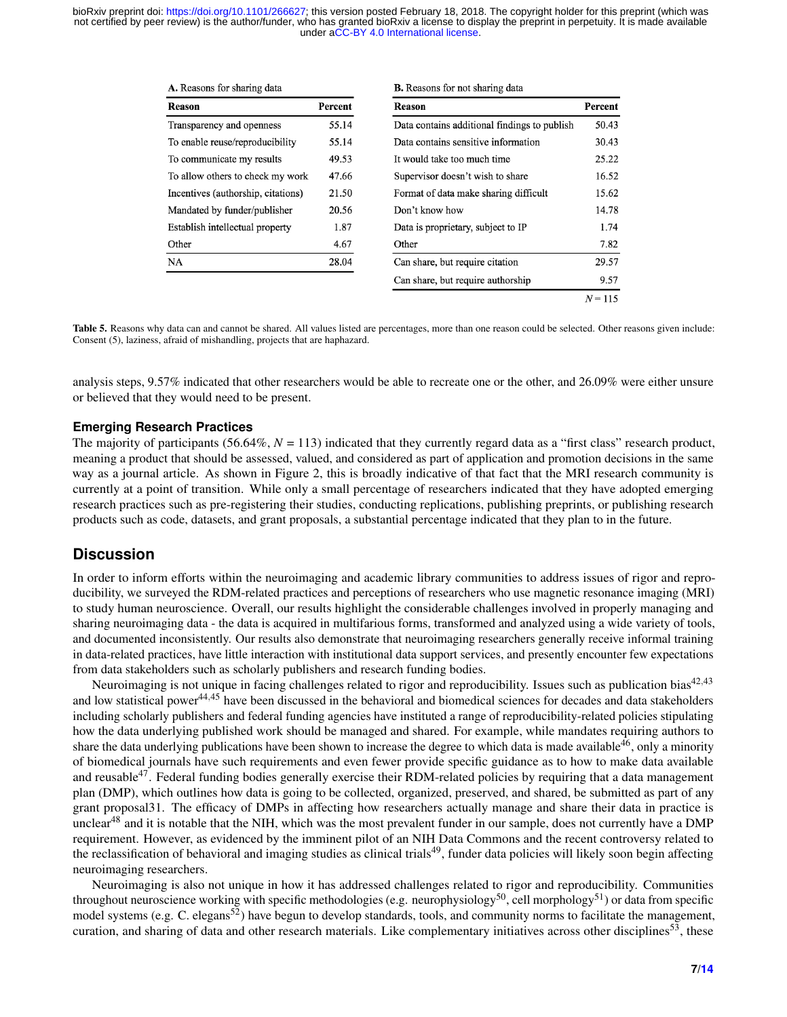| A. Reasons for sharing data        |         | <b>B.</b> Reasons for not sharing data       |           |  |
|------------------------------------|---------|----------------------------------------------|-----------|--|
| Reason                             | Percent | Reason                                       | Percent   |  |
| Transparency and openness          | 55.14   | Data contains additional findings to publish | 50.43     |  |
| To enable reuse/reproducibility    | 55.14   | Data contains sensitive information          | 30.43     |  |
| To communicate my results          | 49.53   | It would take too much time                  | 25.22     |  |
| To allow others to check my work   | 47.66   | Supervisor doesn't wish to share             | 16.52     |  |
| Incentives (authorship, citations) | 21.50   | Format of data make sharing difficult        | 15.62     |  |
| Mandated by funder/publisher       | 20.56   | Don't know how                               | 14.78     |  |
| Establish intellectual property    | 1.87    | Data is proprietary, subject to IP           | 1.74      |  |
| Other                              | 4.67    | Other                                        | 7.82      |  |
| NA                                 | 28.04   | Can share, but require citation              | 29.57     |  |
|                                    |         | Can share, but require authorship            | 9.57      |  |
|                                    |         |                                              | $N = 115$ |  |

Table 5. Reasons why data can and cannot be shared. All values listed are percentages, more than one reason could be selected. Other reasons given include: Consent (5), laziness, afraid of mishandling, projects that are haphazard.

analysis steps, 9.57% indicated that other researchers would be able to recreate one or the other, and 26.09% were either unsure or believed that they would need to be present.

#### **Emerging Research Practices**

The majority of participants (56.64%,  $N = 113$ ) indicated that they currently regard data as a "first class" research product, meaning a product that should be assessed, valued, and considered as part of application and promotion decisions in the same way as a journal article. As shown in Figure 2, this is broadly indicative of that fact that the MRI research community is currently at a point of transition. While only a small percentage of researchers indicated that they have adopted emerging research practices such as pre-registering their studies, conducting replications, publishing preprints, or publishing research products such as code, datasets, and grant proposals, a substantial percentage indicated that they plan to in the future.

## **Discussion**

In order to inform efforts within the neuroimaging and academic library communities to address issues of rigor and reproducibility, we surveyed the RDM-related practices and perceptions of researchers who use magnetic resonance imaging (MRI) to study human neuroscience. Overall, our results highlight the considerable challenges involved in properly managing and sharing neuroimaging data - the data is acquired in multifarious forms, transformed and analyzed using a wide variety of tools, and documented inconsistently. Our results also demonstrate that neuroimaging researchers generally receive informal training in data-related practices, have little interaction with institutional data support services, and presently encounter few expectations from data stakeholders such as scholarly publishers and research funding bodies.

Neuroimaging is not unique in facing challenges related to rigor and reproducibility. Issues such as publication bias<sup>42,43</sup> and low statistical power<sup>44,45</sup> have been discussed in the behavioral and biomedical sciences for decades and data stakeholders including scholarly publishers and federal funding agencies have instituted a range of reproducibility-related policies stipulating how the data underlying published work should be managed and shared. For example, while mandates requiring authors to share the data underlying publications have been shown to increase the degree to which data is made available<sup>46</sup>, only a minority of biomedical journals have such requirements and even fewer provide specific guidance as to how to make data available and reusable<sup>47</sup>. Federal funding bodies generally exercise their RDM-related policies by requiring that a data management plan (DMP), which outlines how data is going to be collected, organized, preserved, and shared, be submitted as part of any grant proposal31. The efficacy of DMPs in affecting how researchers actually manage and share their data in practice is unclear<sup>48</sup> and it is notable that the NIH, which was the most prevalent funder in our sample, does not currently have a DMP requirement. However, as evidenced by the imminent pilot of an NIH Data Commons and the recent controversy related to the reclassification of behavioral and imaging studies as clinical trials<sup>49</sup>, funder data policies will likely soon begin affecting neuroimaging researchers.

Neuroimaging is also not unique in how it has addressed challenges related to rigor and reproducibility. Communities throughout neuroscience working with specific methodologies (e.g. neurophysiology<sup>50</sup>, cell morphology<sup>51</sup>) or data from specific model systems (e.g. C. elegans<sup>52</sup>) have begun to develop standards, tools, and community norms to facilitate the management, curation, and sharing of data and other research materials. Like complementary initiatives across other disciplines<sup>53</sup>, these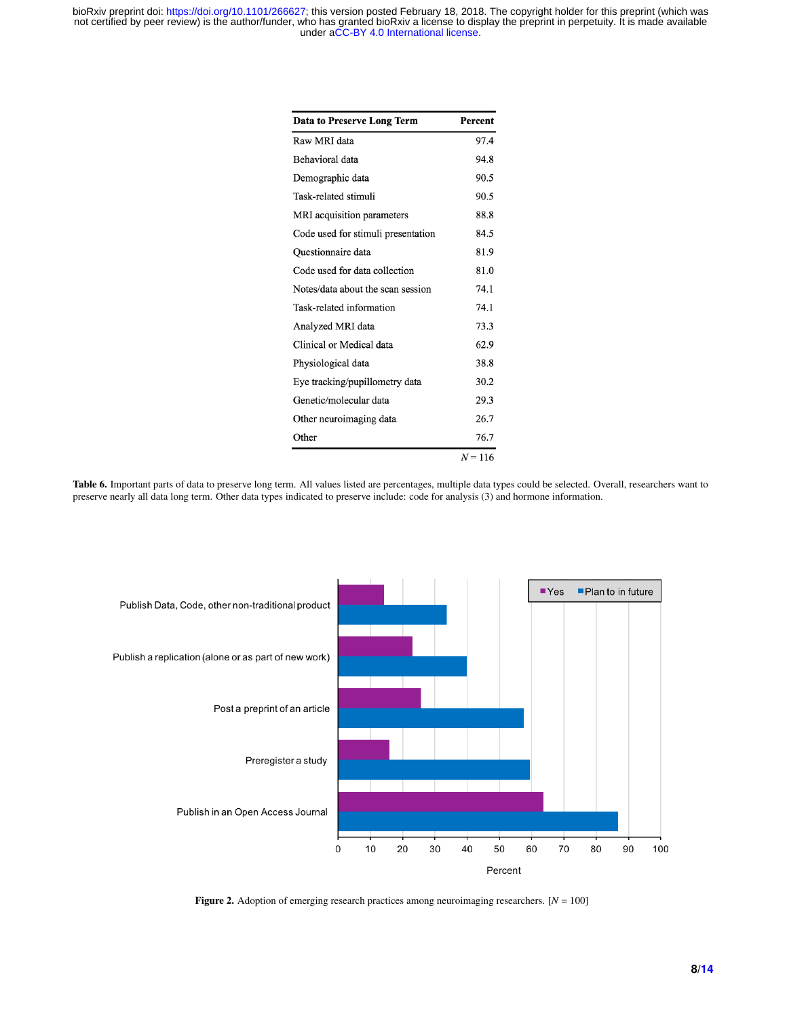| Data to Preserve Long Term         | Percent   |
|------------------------------------|-----------|
| Raw MRI data                       | 97.4      |
| Behavioral data                    | 94.8      |
| Demographic data                   | 90.5      |
| Task-related stimuli               | 90.5      |
| MRI acquisition parameters         | 88.8      |
| Code used for stimuli presentation | 84.5      |
| <b>Ouestionnaire</b> data          | 81.9      |
| Code used for data collection      | 81.0      |
| Notes/data about the scan session  | 74.1      |
| Task-related information           | 74.1      |
| Analyzed MRI data                  | 73.3      |
| Clinical or Medical data           | 62.9      |
| Physiological data                 | 38.8      |
| Eye tracking/pupillometry data     | 30.2      |
| Genetic/molecular data             | 29.3      |
| Other neuroimaging data            | 26.7      |
| Other                              | 76.7      |
|                                    | $N = 116$ |

Table 6. Important parts of data to preserve long term. All values listed are percentages, multiple data types could be selected. Overall, researchers want to preserve nearly all data long term. Other data types indicated to preserve include: code for analysis (3) and hormone information.



Figure 2. Adoption of emerging research practices among neuroimaging researchers. [*N* = 100]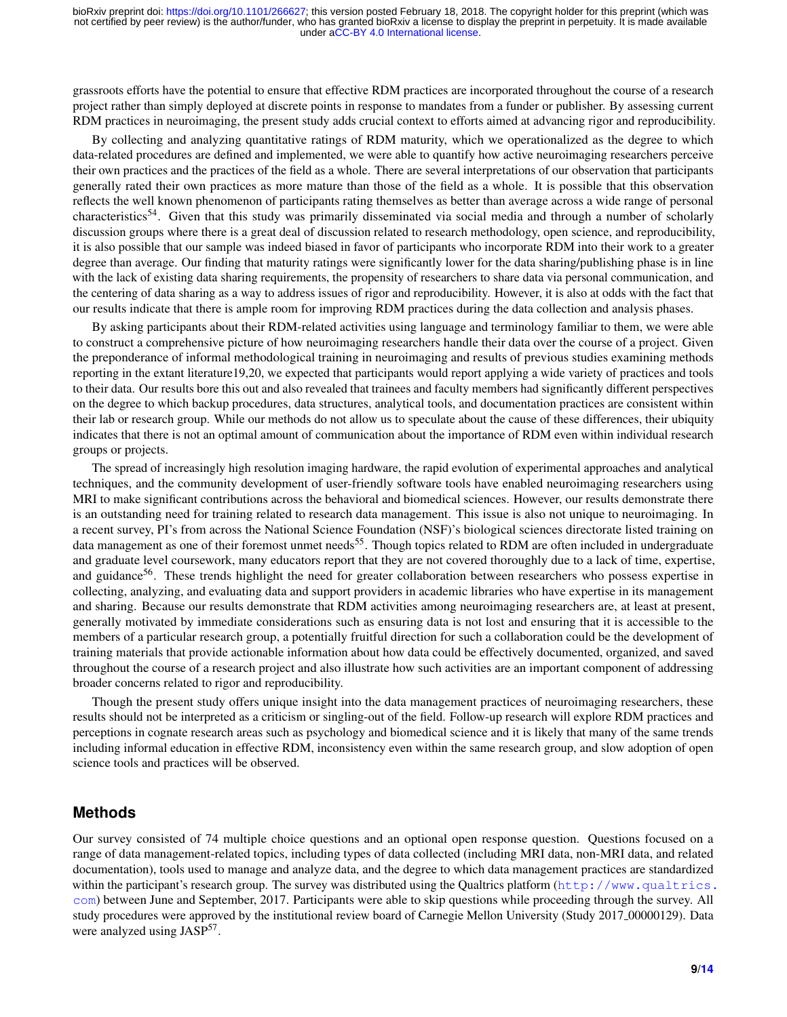grassroots efforts have the potential to ensure that effective RDM practices are incorporated throughout the course of a research project rather than simply deployed at discrete points in response to mandates from a funder or publisher. By assessing current RDM practices in neuroimaging, the present study adds crucial context to efforts aimed at advancing rigor and reproducibility.

By collecting and analyzing quantitative ratings of RDM maturity, which we operationalized as the degree to which data-related procedures are defined and implemented, we were able to quantify how active neuroimaging researchers perceive their own practices and the practices of the field as a whole. There are several interpretations of our observation that participants generally rated their own practices as more mature than those of the field as a whole. It is possible that this observation reflects the well known phenomenon of participants rating themselves as better than average across a wide range of personal characteristics54. Given that this study was primarily disseminated via social media and through a number of scholarly discussion groups where there is a great deal of discussion related to research methodology, open science, and reproducibility, it is also possible that our sample was indeed biased in favor of participants who incorporate RDM into their work to a greater degree than average. Our finding that maturity ratings were significantly lower for the data sharing/publishing phase is in line with the lack of existing data sharing requirements, the propensity of researchers to share data via personal communication, and the centering of data sharing as a way to address issues of rigor and reproducibility. However, it is also at odds with the fact that our results indicate that there is ample room for improving RDM practices during the data collection and analysis phases.

By asking participants about their RDM-related activities using language and terminology familiar to them, we were able to construct a comprehensive picture of how neuroimaging researchers handle their data over the course of a project. Given the preponderance of informal methodological training in neuroimaging and results of previous studies examining methods reporting in the extant literature19,20, we expected that participants would report applying a wide variety of practices and tools to their data. Our results bore this out and also revealed that trainees and faculty members had significantly different perspectives on the degree to which backup procedures, data structures, analytical tools, and documentation practices are consistent within their lab or research group. While our methods do not allow us to speculate about the cause of these differences, their ubiquity indicates that there is not an optimal amount of communication about the importance of RDM even within individual research groups or projects.

The spread of increasingly high resolution imaging hardware, the rapid evolution of experimental approaches and analytical techniques, and the community development of user-friendly software tools have enabled neuroimaging researchers using MRI to make significant contributions across the behavioral and biomedical sciences. However, our results demonstrate there is an outstanding need for training related to research data management. This issue is also not unique to neuroimaging. In a recent survey, PI's from across the National Science Foundation (NSF)'s biological sciences directorate listed training on data management as one of their foremost unmet needs<sup>55</sup>. Though topics related to RDM are often included in undergraduate and graduate level coursework, many educators report that they are not covered thoroughly due to a lack of time, expertise, and guidance<sup>56</sup>. These trends highlight the need for greater collaboration between researchers who possess expertise in collecting, analyzing, and evaluating data and support providers in academic libraries who have expertise in its management and sharing. Because our results demonstrate that RDM activities among neuroimaging researchers are, at least at present, generally motivated by immediate considerations such as ensuring data is not lost and ensuring that it is accessible to the members of a particular research group, a potentially fruitful direction for such a collaboration could be the development of training materials that provide actionable information about how data could be effectively documented, organized, and saved throughout the course of a research project and also illustrate how such activities are an important component of addressing broader concerns related to rigor and reproducibility.

Though the present study offers unique insight into the data management practices of neuroimaging researchers, these results should not be interpreted as a criticism or singling-out of the field. Follow-up research will explore RDM practices and perceptions in cognate research areas such as psychology and biomedical science and it is likely that many of the same trends including informal education in effective RDM, inconsistency even within the same research group, and slow adoption of open science tools and practices will be observed.

# **Methods**

Our survey consisted of 74 multiple choice questions and an optional open response question. Questions focused on a range of data management-related topics, including types of data collected (including MRI data, non-MRI data, and related documentation), tools used to manage and analyze data, and the degree to which data management practices are standardized within the participant's research group. The survey was distributed using the Qualtrics platform ([http://www.qualtrics.](http://www.qualtrics.com) [com](http://www.qualtrics.com)) between June and September, 2017. Participants were able to skip questions while proceeding through the survey. All study procedures were approved by the institutional review board of Carnegie Mellon University (Study 2017 00000129). Data were analyzed using JASP<sup>57</sup>.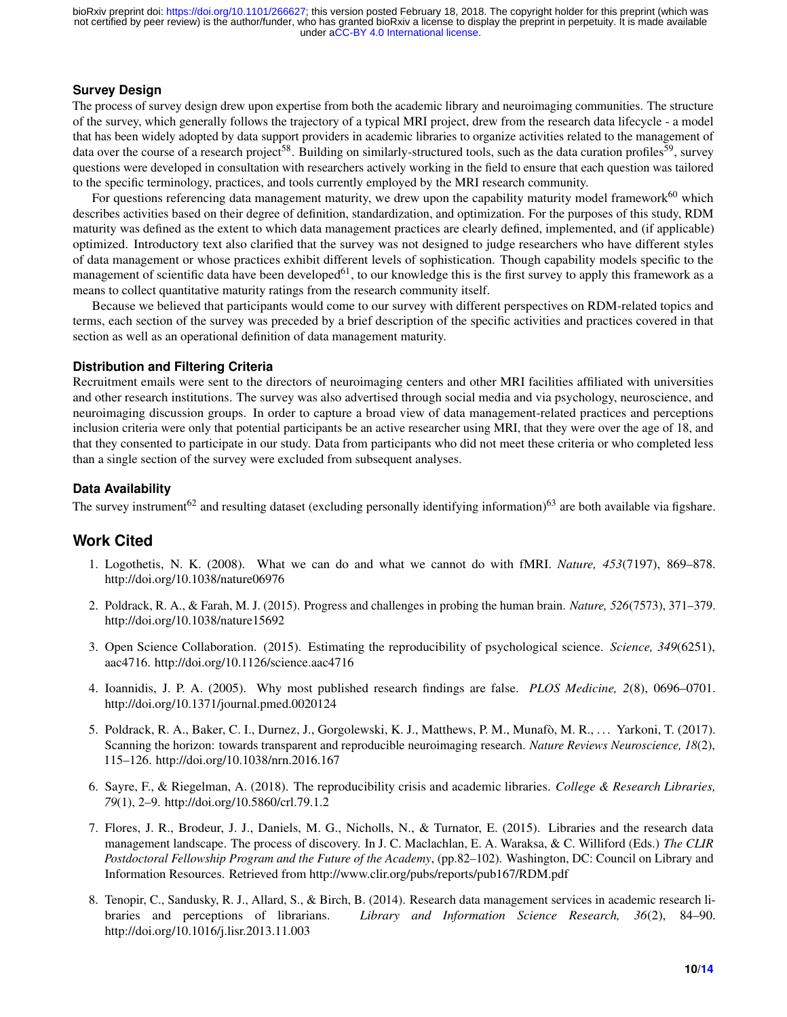## **Survey Design**

The process of survey design drew upon expertise from both the academic library and neuroimaging communities. The structure of the survey, which generally follows the trajectory of a typical MRI project, drew from the research data lifecycle - a model that has been widely adopted by data support providers in academic libraries to organize activities related to the management of data over the course of a research project<sup>58</sup>. Building on similarly-structured tools, such as the data curation profiles<sup>59</sup>, survey questions were developed in consultation with researchers actively working in the field to ensure that each question was tailored to the specific terminology, practices, and tools currently employed by the MRI research community.

For questions referencing data management maturity, we drew upon the capability maturity model framework<sup>60</sup> which describes activities based on their degree of definition, standardization, and optimization. For the purposes of this study, RDM maturity was defined as the extent to which data management practices are clearly defined, implemented, and (if applicable) optimized. Introductory text also clarified that the survey was not designed to judge researchers who have different styles of data management or whose practices exhibit different levels of sophistication. Though capability models specific to the management of scientific data have been developed $^{61}$ , to our knowledge this is the first survey to apply this framework as a means to collect quantitative maturity ratings from the research community itself.

Because we believed that participants would come to our survey with different perspectives on RDM-related topics and terms, each section of the survey was preceded by a brief description of the specific activities and practices covered in that section as well as an operational definition of data management maturity.

#### **Distribution and Filtering Criteria**

Recruitment emails were sent to the directors of neuroimaging centers and other MRI facilities affiliated with universities and other research institutions. The survey was also advertised through social media and via psychology, neuroscience, and neuroimaging discussion groups. In order to capture a broad view of data management-related practices and perceptions inclusion criteria were only that potential participants be an active researcher using MRI, that they were over the age of 18, and that they consented to participate in our study. Data from participants who did not meet these criteria or who completed less than a single section of the survey were excluded from subsequent analyses.

## **Data Availability**

The survey instrument<sup>62</sup> and resulting dataset (excluding personally identifying information)<sup>63</sup> are both available via figshare.

# **Work Cited**

- 1. Logothetis, N. K. (2008). What we can do and what we cannot do with fMRI. *Nature, 453*(7197), 869–878. http://doi.org/10.1038/nature06976
- 2. Poldrack, R. A., & Farah, M. J. (2015). Progress and challenges in probing the human brain. *Nature, 526*(7573), 371–379. http://doi.org/10.1038/nature15692
- 3. Open Science Collaboration. (2015). Estimating the reproducibility of psychological science. *Science, 349*(6251), aac4716. http://doi.org/10.1126/science.aac4716
- 4. Ioannidis, J. P. A. (2005). Why most published research findings are false. *PLOS Medicine, 2*(8), 0696–0701. http://doi.org/10.1371/journal.pmed.0020124
- 5. Poldrack, R. A., Baker, C. I., Durnez, J., Gorgolewski, K. J., Matthews, P. M., Munafo, M. R., . . . Yarkoni, T. (2017). ` Scanning the horizon: towards transparent and reproducible neuroimaging research. *Nature Reviews Neuroscience, 18*(2), 115–126. http://doi.org/10.1038/nrn.2016.167
- 6. Sayre, F., & Riegelman, A. (2018). The reproducibility crisis and academic libraries. *College & Research Libraries, 79*(1), 2–9. http://doi.org/10.5860/crl.79.1.2
- 7. Flores, J. R., Brodeur, J. J., Daniels, M. G., Nicholls, N., & Turnator, E. (2015). Libraries and the research data management landscape. The process of discovery. In J. C. Maclachlan, E. A. Waraksa, & C. Williford (Eds.) *The CLIR Postdoctoral Fellowship Program and the Future of the Academy*, (pp.82–102). Washington, DC: Council on Library and Information Resources. Retrieved from http://www.clir.org/pubs/reports/pub167/RDM.pdf
- 8. Tenopir, C., Sandusky, R. J., Allard, S., & Birch, B. (2014). Research data management services in academic research libraries and perceptions of librarians. *Library and Information Science Research, 36*(2), 84–90. http://doi.org/10.1016/j.lisr.2013.11.003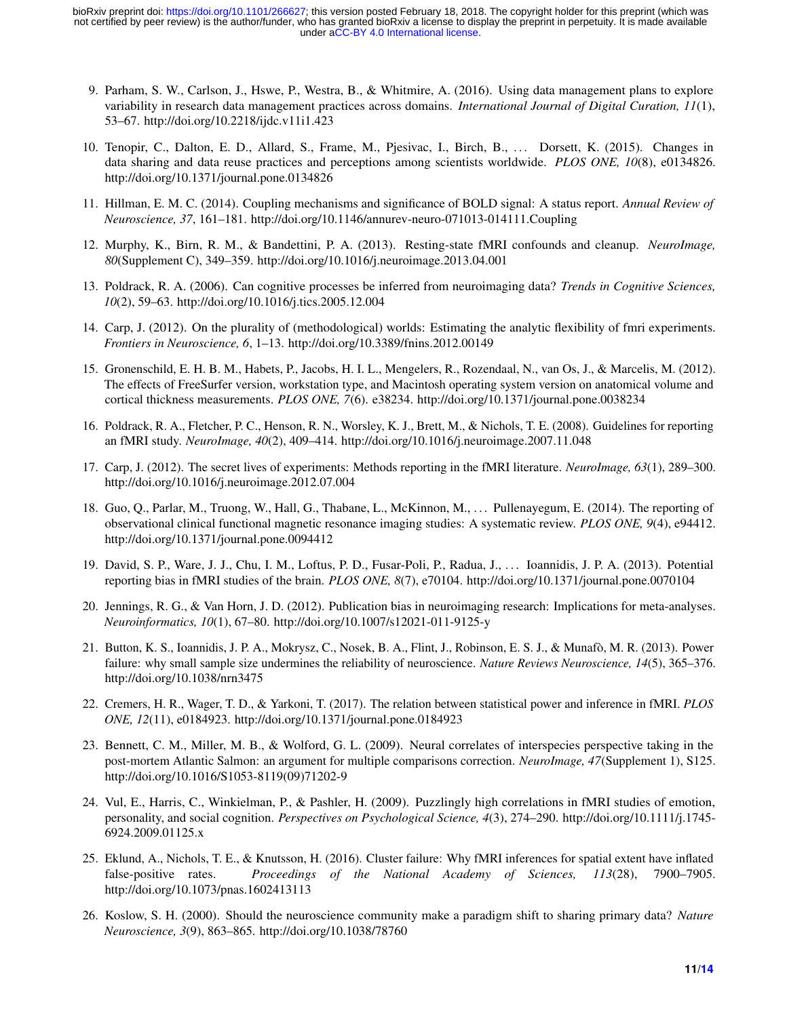- 9. Parham, S. W., Carlson, J., Hswe, P., Westra, B., & Whitmire, A. (2016). Using data management plans to explore variability in research data management practices across domains. *International Journal of Digital Curation, 11*(1), 53–67. http://doi.org/10.2218/ijdc.v11i1.423
- 10. Tenopir, C., Dalton, E. D., Allard, S., Frame, M., Pjesivac, I., Birch, B., . . . Dorsett, K. (2015). Changes in data sharing and data reuse practices and perceptions among scientists worldwide. *PLOS ONE, 10*(8), e0134826. http://doi.org/10.1371/journal.pone.0134826
- 11. Hillman, E. M. C. (2014). Coupling mechanisms and significance of BOLD signal: A status report. *Annual Review of Neuroscience, 37*, 161–181. http://doi.org/10.1146/annurev-neuro-071013-014111.Coupling
- 12. Murphy, K., Birn, R. M., & Bandettini, P. A. (2013). Resting-state fMRI confounds and cleanup. *NeuroImage, 80*(Supplement C), 349–359. http://doi.org/10.1016/j.neuroimage.2013.04.001
- 13. Poldrack, R. A. (2006). Can cognitive processes be inferred from neuroimaging data? *Trends in Cognitive Sciences, 10*(2), 59–63. http://doi.org/10.1016/j.tics.2005.12.004
- 14. Carp, J. (2012). On the plurality of (methodological) worlds: Estimating the analytic flexibility of fmri experiments. *Frontiers in Neuroscience, 6*, 1–13. http://doi.org/10.3389/fnins.2012.00149
- 15. Gronenschild, E. H. B. M., Habets, P., Jacobs, H. I. L., Mengelers, R., Rozendaal, N., van Os, J., & Marcelis, M. (2012). The effects of FreeSurfer version, workstation type, and Macintosh operating system version on anatomical volume and cortical thickness measurements. *PLOS ONE, 7*(6). e38234. http://doi.org/10.1371/journal.pone.0038234
- 16. Poldrack, R. A., Fletcher, P. C., Henson, R. N., Worsley, K. J., Brett, M., & Nichols, T. E. (2008). Guidelines for reporting an fMRI study. *NeuroImage, 40*(2), 409–414. http://doi.org/10.1016/j.neuroimage.2007.11.048
- 17. Carp, J. (2012). The secret lives of experiments: Methods reporting in the fMRI literature. *NeuroImage, 63*(1), 289–300. http://doi.org/10.1016/j.neuroimage.2012.07.004
- 18. Guo, Q., Parlar, M., Truong, W., Hall, G., Thabane, L., McKinnon, M., . . . Pullenayegum, E. (2014). The reporting of observational clinical functional magnetic resonance imaging studies: A systematic review. *PLOS ONE, 9*(4), e94412. http://doi.org/10.1371/journal.pone.0094412
- 19. David, S. P., Ware, J. J., Chu, I. M., Loftus, P. D., Fusar-Poli, P., Radua, J., . . . Ioannidis, J. P. A. (2013). Potential reporting bias in fMRI studies of the brain. *PLOS ONE, 8*(7), e70104. http://doi.org/10.1371/journal.pone.0070104
- 20. Jennings, R. G., & Van Horn, J. D. (2012). Publication bias in neuroimaging research: Implications for meta-analyses. *Neuroinformatics, 10*(1), 67–80. http://doi.org/10.1007/s12021-011-9125-y
- 21. Button, K. S., Ioannidis, J. P. A., Mokrysz, C., Nosek, B. A., Flint, J., Robinson, E. S. J., & Munafo, M. R. (2013). Power ` failure: why small sample size undermines the reliability of neuroscience. *Nature Reviews Neuroscience, 14*(5), 365–376. http://doi.org/10.1038/nrn3475
- 22. Cremers, H. R., Wager, T. D., & Yarkoni, T. (2017). The relation between statistical power and inference in fMRI. *PLOS ONE, 12*(11), e0184923. http://doi.org/10.1371/journal.pone.0184923
- 23. Bennett, C. M., Miller, M. B., & Wolford, G. L. (2009). Neural correlates of interspecies perspective taking in the post-mortem Atlantic Salmon: an argument for multiple comparisons correction. *NeuroImage, 47*(Supplement 1), S125. http://doi.org/10.1016/S1053-8119(09)71202-9
- 24. Vul, E., Harris, C., Winkielman, P., & Pashler, H. (2009). Puzzlingly high correlations in fMRI studies of emotion, personality, and social cognition. *Perspectives on Psychological Science, 4*(3), 274–290. http://doi.org/10.1111/j.1745- 6924.2009.01125.x
- 25. Eklund, A., Nichols, T. E., & Knutsson, H. (2016). Cluster failure: Why fMRI inferences for spatial extent have inflated false-positive rates. *Proceedings of the National Academy of Sciences, 113*(28), 7900–7905. http://doi.org/10.1073/pnas.1602413113
- 26. Koslow, S. H. (2000). Should the neuroscience community make a paradigm shift to sharing primary data? *Nature Neuroscience, 3*(9), 863–865. http://doi.org/10.1038/78760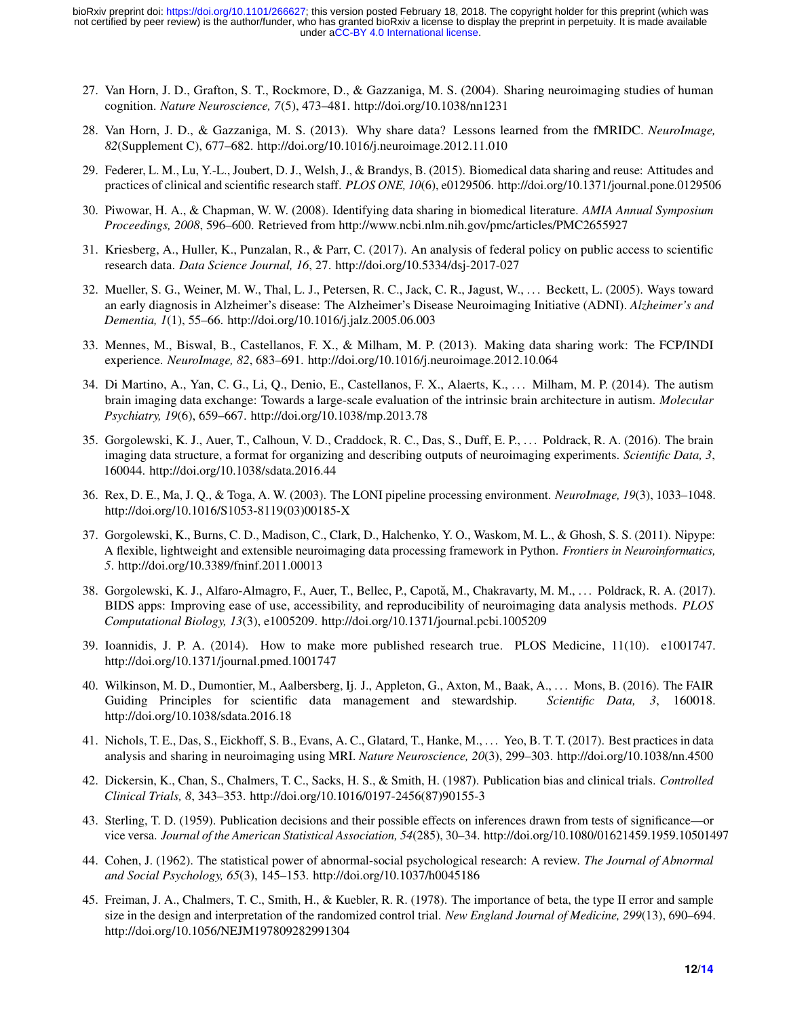- 27. Van Horn, J. D., Grafton, S. T., Rockmore, D., & Gazzaniga, M. S. (2004). Sharing neuroimaging studies of human cognition. *Nature Neuroscience, 7*(5), 473–481. http://doi.org/10.1038/nn1231
- 28. Van Horn, J. D., & Gazzaniga, M. S. (2013). Why share data? Lessons learned from the fMRIDC. *NeuroImage, 82*(Supplement C), 677–682. http://doi.org/10.1016/j.neuroimage.2012.11.010
- 29. Federer, L. M., Lu, Y.-L., Joubert, D. J., Welsh, J., & Brandys, B. (2015). Biomedical data sharing and reuse: Attitudes and practices of clinical and scientific research staff. *PLOS ONE, 10*(6), e0129506. http://doi.org/10.1371/journal.pone.0129506
- 30. Piwowar, H. A., & Chapman, W. W. (2008). Identifying data sharing in biomedical literature. *AMIA Annual Symposium Proceedings, 2008*, 596–600. Retrieved from http://www.ncbi.nlm.nih.gov/pmc/articles/PMC2655927
- 31. Kriesberg, A., Huller, K., Punzalan, R., & Parr, C. (2017). An analysis of federal policy on public access to scientific research data. *Data Science Journal, 16*, 27. http://doi.org/10.5334/dsj-2017-027
- 32. Mueller, S. G., Weiner, M. W., Thal, L. J., Petersen, R. C., Jack, C. R., Jagust, W., . . . Beckett, L. (2005). Ways toward an early diagnosis in Alzheimer's disease: The Alzheimer's Disease Neuroimaging Initiative (ADNI). *Alzheimer's and Dementia, 1*(1), 55–66. http://doi.org/10.1016/j.jalz.2005.06.003
- 33. Mennes, M., Biswal, B., Castellanos, F. X., & Milham, M. P. (2013). Making data sharing work: The FCP/INDI experience. *NeuroImage, 82*, 683–691. http://doi.org/10.1016/j.neuroimage.2012.10.064
- 34. Di Martino, A., Yan, C. G., Li, Q., Denio, E., Castellanos, F. X., Alaerts, K., . . . Milham, M. P. (2014). The autism brain imaging data exchange: Towards a large-scale evaluation of the intrinsic brain architecture in autism. *Molecular Psychiatry, 19*(6), 659–667. http://doi.org/10.1038/mp.2013.78
- 35. Gorgolewski, K. J., Auer, T., Calhoun, V. D., Craddock, R. C., Das, S., Duff, E. P., . . . Poldrack, R. A. (2016). The brain imaging data structure, a format for organizing and describing outputs of neuroimaging experiments. *Scientific Data, 3*, 160044. http://doi.org/10.1038/sdata.2016.44
- 36. Rex, D. E., Ma, J. Q., & Toga, A. W. (2003). The LONI pipeline processing environment. *NeuroImage, 19*(3), 1033–1048. http://doi.org/10.1016/S1053-8119(03)00185-X
- 37. Gorgolewski, K., Burns, C. D., Madison, C., Clark, D., Halchenko, Y. O., Waskom, M. L., & Ghosh, S. S. (2011). Nipype: A flexible, lightweight and extensible neuroimaging data processing framework in Python. *Frontiers in Neuroinformatics, 5*. http://doi.org/10.3389/fninf.2011.00013
- 38. Gorgolewski, K. J., Alfaro-Almagro, F., Auer, T., Bellec, P., Capota, M., Chakravarty, M. M., . . . Poldrack, R. A. (2017). ˘ BIDS apps: Improving ease of use, accessibility, and reproducibility of neuroimaging data analysis methods. *PLOS Computational Biology, 13*(3), e1005209. http://doi.org/10.1371/journal.pcbi.1005209
- 39. Ioannidis, J. P. A. (2014). How to make more published research true. PLOS Medicine, 11(10). e1001747. http://doi.org/10.1371/journal.pmed.1001747
- 40. Wilkinson, M. D., Dumontier, M., Aalbersberg, Ij. J., Appleton, G., Axton, M., Baak, A., . . . Mons, B. (2016). The FAIR Guiding Principles for scientific data management and stewardship. *Scientific Data, 3*, 160018. http://doi.org/10.1038/sdata.2016.18
- 41. Nichols, T. E., Das, S., Eickhoff, S. B., Evans, A. C., Glatard, T., Hanke, M., . . . Yeo, B. T. T. (2017). Best practices in data analysis and sharing in neuroimaging using MRI. *Nature Neuroscience, 20*(3), 299–303. http://doi.org/10.1038/nn.4500
- 42. Dickersin, K., Chan, S., Chalmers, T. C., Sacks, H. S., & Smith, H. (1987). Publication bias and clinical trials. *Controlled Clinical Trials, 8*, 343–353. http://doi.org/10.1016/0197-2456(87)90155-3
- 43. Sterling, T. D. (1959). Publication decisions and their possible effects on inferences drawn from tests of significance—or vice versa. *Journal of the American Statistical Association, 54*(285), 30–34. http://doi.org/10.1080/01621459.1959.10501497
- 44. Cohen, J. (1962). The statistical power of abnormal-social psychological research: A review. *The Journal of Abnormal and Social Psychology, 65*(3), 145–153. http://doi.org/10.1037/h0045186
- 45. Freiman, J. A., Chalmers, T. C., Smith, H., & Kuebler, R. R. (1978). The importance of beta, the type II error and sample size in the design and interpretation of the randomized control trial. *New England Journal of Medicine, 299*(13), 690–694. http://doi.org/10.1056/NEJM197809282991304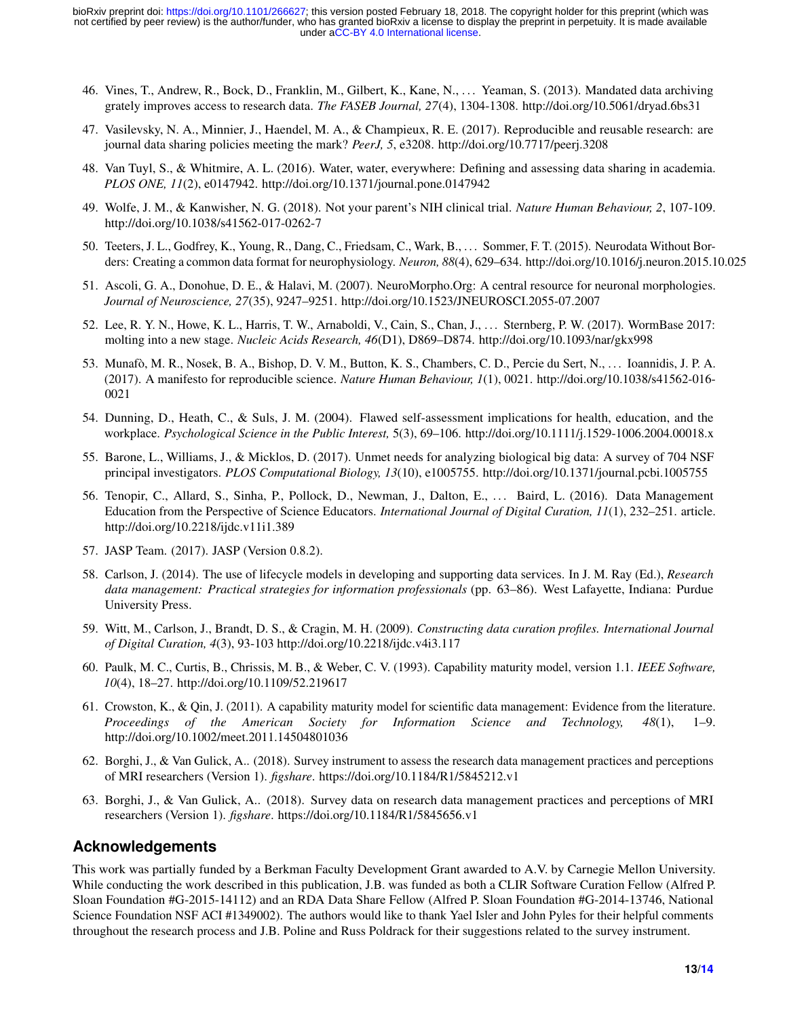- 46. Vines, T., Andrew, R., Bock, D., Franklin, M., Gilbert, K., Kane, N., . . . Yeaman, S. (2013). Mandated data archiving grately improves access to research data. *The FASEB Journal, 27*(4), 1304-1308. http://doi.org/10.5061/dryad.6bs31
- 47. Vasilevsky, N. A., Minnier, J., Haendel, M. A., & Champieux, R. E. (2017). Reproducible and reusable research: are journal data sharing policies meeting the mark? *PeerJ, 5*, e3208. http://doi.org/10.7717/peerj.3208
- 48. Van Tuyl, S., & Whitmire, A. L. (2016). Water, water, everywhere: Defining and assessing data sharing in academia. *PLOS ONE, 11*(2), e0147942. http://doi.org/10.1371/journal.pone.0147942
- 49. Wolfe, J. M., & Kanwisher, N. G. (2018). Not your parent's NIH clinical trial. *Nature Human Behaviour, 2*, 107-109. http://doi.org/10.1038/s41562-017-0262-7
- 50. Teeters, J. L., Godfrey, K., Young, R., Dang, C., Friedsam, C., Wark, B., . . . Sommer, F. T. (2015). Neurodata Without Borders: Creating a common data format for neurophysiology. *Neuron, 88*(4), 629–634. http://doi.org/10.1016/j.neuron.2015.10.025
- 51. Ascoli, G. A., Donohue, D. E., & Halavi, M. (2007). NeuroMorpho.Org: A central resource for neuronal morphologies. *Journal of Neuroscience, 27*(35), 9247–9251. http://doi.org/10.1523/JNEUROSCI.2055-07.2007
- 52. Lee, R. Y. N., Howe, K. L., Harris, T. W., Arnaboldi, V., Cain, S., Chan, J., . . . Sternberg, P. W. (2017). WormBase 2017: molting into a new stage. *Nucleic Acids Research, 46*(D1), D869–D874. http://doi.org/10.1093/nar/gkx998
- 53. Munafò, M. R., Nosek, B. A., Bishop, D. V. M., Button, K. S., Chambers, C. D., Percie du Sert, N., ... Ioannidis, J. P. A. (2017). A manifesto for reproducible science. *Nature Human Behaviour, 1*(1), 0021. http://doi.org/10.1038/s41562-016- 0021
- 54. Dunning, D., Heath, C., & Suls, J. M. (2004). Flawed self-assessment implications for health, education, and the workplace. *Psychological Science in the Public Interest,* 5(3), 69–106. http://doi.org/10.1111/j.1529-1006.2004.00018.x
- 55. Barone, L., Williams, J., & Micklos, D. (2017). Unmet needs for analyzing biological big data: A survey of 704 NSF principal investigators. *PLOS Computational Biology, 13*(10), e1005755. http://doi.org/10.1371/journal.pcbi.1005755
- 56. Tenopir, C., Allard, S., Sinha, P., Pollock, D., Newman, J., Dalton, E., . . . Baird, L. (2016). Data Management Education from the Perspective of Science Educators. *International Journal of Digital Curation, 11*(1), 232–251. article. http://doi.org/10.2218/ijdc.v11i1.389
- 57. JASP Team. (2017). JASP (Version 0.8.2).
- 58. Carlson, J. (2014). The use of lifecycle models in developing and supporting data services. In J. M. Ray (Ed.), *Research data management: Practical strategies for information professionals* (pp. 63–86). West Lafayette, Indiana: Purdue University Press.
- 59. Witt, M., Carlson, J., Brandt, D. S., & Cragin, M. H. (2009). *Constructing data curation profiles. International Journal of Digital Curation, 4*(3), 93-103 http://doi.org/10.2218/ijdc.v4i3.117
- 60. Paulk, M. C., Curtis, B., Chrissis, M. B., & Weber, C. V. (1993). Capability maturity model, version 1.1. *IEEE Software, 10*(4), 18–27. http://doi.org/10.1109/52.219617
- 61. Crowston, K., & Qin, J. (2011). A capability maturity model for scientific data management: Evidence from the literature. *Proceedings of the American Society for Information Science and Technology, 48*(1), 1–9. http://doi.org/10.1002/meet.2011.14504801036
- 62. Borghi, J., & Van Gulick, A.. (2018). Survey instrument to assess the research data management practices and perceptions of MRI researchers (Version 1). *figshare*. https://doi.org/10.1184/R1/5845212.v1
- 63. Borghi, J., & Van Gulick, A.. (2018). Survey data on research data management practices and perceptions of MRI researchers (Version 1). *figshare*. https://doi.org/10.1184/R1/5845656.v1

# **Acknowledgements**

This work was partially funded by a Berkman Faculty Development Grant awarded to A.V. by Carnegie Mellon University. While conducting the work described in this publication, J.B. was funded as both a CLIR Software Curation Fellow (Alfred P. Sloan Foundation #G-2015-14112) and an RDA Data Share Fellow (Alfred P. Sloan Foundation #G-2014-13746, National Science Foundation NSF ACI #1349002). The authors would like to thank Yael Isler and John Pyles for their helpful comments throughout the research process and J.B. Poline and Russ Poldrack for their suggestions related to the survey instrument.